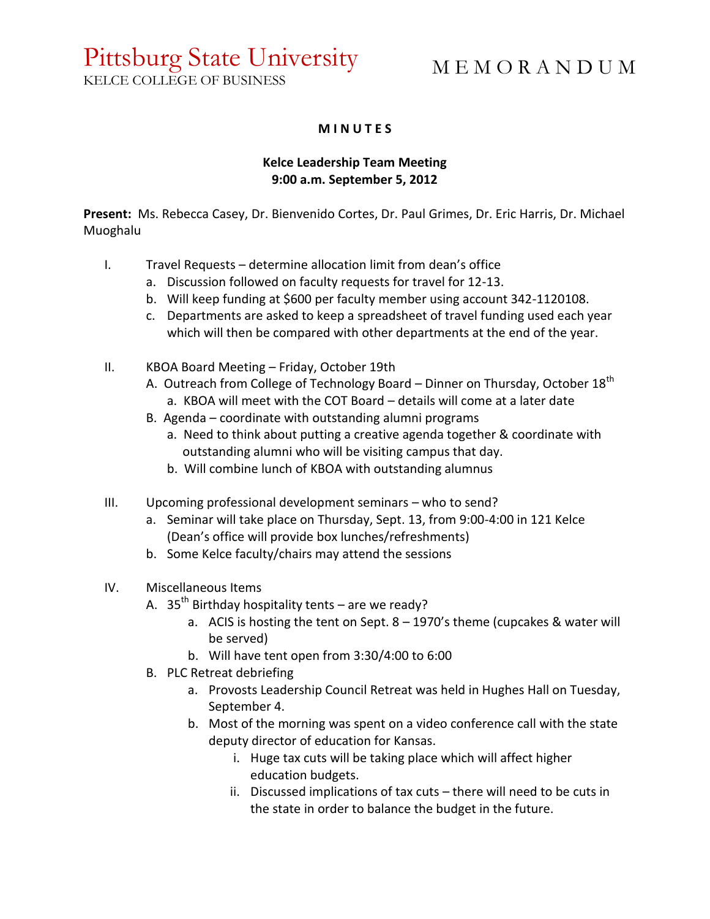# Pittsburg State University

KELCE COLLEGE OF BUSINESS

# M E M O R A N D U M

#### **M I N U T E S**

## **Kelce Leadership Team Meeting 9:00 a.m. September 5, 2012**

**Present:** Ms. Rebecca Casey, Dr. Bienvenido Cortes, Dr. Paul Grimes, Dr. Eric Harris, Dr. Michael Muoghalu

- I. Travel Requests determine allocation limit from dean's office
	- a. Discussion followed on faculty requests for travel for 12-13.
	- b. Will keep funding at \$600 per faculty member using account 342-1120108.
	- c. Departments are asked to keep a spreadsheet of travel funding used each year which will then be compared with other departments at the end of the year.
- II. KBOA Board Meeting Friday, October 19th
	- A. Outreach from College of Technology Board Dinner on Thursday, October  $18<sup>th</sup>$ a. KBOA will meet with the COT Board – details will come at a later date
	- B. Agenda coordinate with outstanding alumni programs
		- a. Need to think about putting a creative agenda together & coordinate with outstanding alumni who will be visiting campus that day.
		- b. Will combine lunch of KBOA with outstanding alumnus
- III. Upcoming professional development seminars who to send?
	- a. Seminar will take place on Thursday, Sept. 13, from 9:00-4:00 in 121 Kelce (Dean's office will provide box lunches/refreshments)
	- b. Some Kelce faculty/chairs may attend the sessions
- IV. Miscellaneous Items
	- A.  $35^{th}$  Birthday hospitality tents are we ready?
		- a. ACIS is hosting the tent on Sept. 8 1970's theme (cupcakes & water will be served)
		- b. Will have tent open from 3:30/4:00 to 6:00
	- B. PLC Retreat debriefing
		- a. Provosts Leadership Council Retreat was held in Hughes Hall on Tuesday, September 4.
		- b. Most of the morning was spent on a video conference call with the state deputy director of education for Kansas.
			- i. Huge tax cuts will be taking place which will affect higher education budgets.
			- ii. Discussed implications of tax cuts there will need to be cuts in the state in order to balance the budget in the future.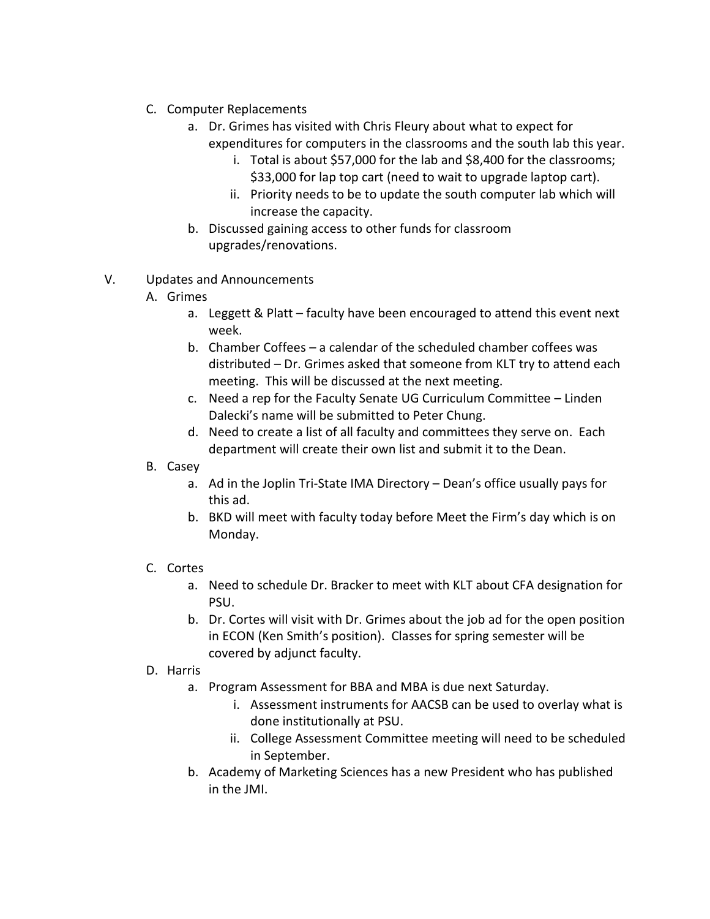- C. Computer Replacements
	- a. Dr. Grimes has visited with Chris Fleury about what to expect for expenditures for computers in the classrooms and the south lab this year.
		- i. Total is about \$57,000 for the lab and \$8,400 for the classrooms; \$33,000 for lap top cart (need to wait to upgrade laptop cart).
		- ii. Priority needs to be to update the south computer lab which will increase the capacity.
	- b. Discussed gaining access to other funds for classroom upgrades/renovations.
- V. Updates and Announcements
	- A. Grimes
		- a. Leggett & Platt faculty have been encouraged to attend this event next week.
		- b. Chamber Coffees a calendar of the scheduled chamber coffees was distributed – Dr. Grimes asked that someone from KLT try to attend each meeting. This will be discussed at the next meeting.
		- c. Need a rep for the Faculty Senate UG Curriculum Committee Linden Dalecki's name will be submitted to Peter Chung.
		- d. Need to create a list of all faculty and committees they serve on. Each department will create their own list and submit it to the Dean.
	- B. Casey
		- a. Ad in the Joplin Tri-State IMA Directory Dean's office usually pays for this ad.
		- b. BKD will meet with faculty today before Meet the Firm's day which is on Monday.

## C. Cortes

- a. Need to schedule Dr. Bracker to meet with KLT about CFA designation for PSU.
- b. Dr. Cortes will visit with Dr. Grimes about the job ad for the open position in ECON (Ken Smith's position). Classes for spring semester will be covered by adjunct faculty.
- D. Harris
	- a. Program Assessment for BBA and MBA is due next Saturday.
		- i. Assessment instruments for AACSB can be used to overlay what is done institutionally at PSU.
		- ii. College Assessment Committee meeting will need to be scheduled in September.
	- b. Academy of Marketing Sciences has a new President who has published in the JMI.